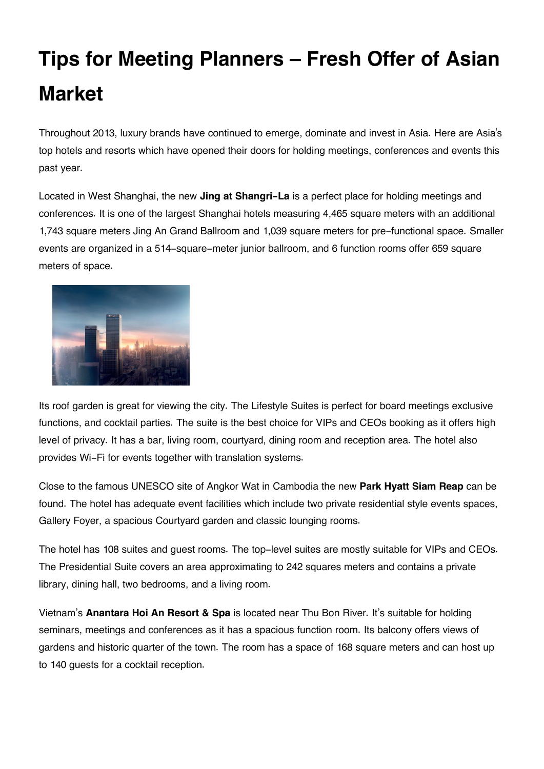## **Tips for Meeting Planners – Fresh Offer of Asian Market**

Throughout 2013, luxury brands have continued to emerge, dominate and invest in Asia. Here are Asia's top hotels and resorts which have opened their doors for holding meetings, conferences and events this past year.

Located in West Shanghai, the new **Jing at Shangri-La** is a perfect place for holding meetings and conferences. It is one of the largest Shanghai hotels measuring 4,465 square meters with an additional 1,743 square meters Jing An Grand Ballroom and 1,039 square meters for pre-functional space. Smaller events are organized in a 514-square-meter junior ballroom, and 6 function rooms offer 659 square meters of space.



Its roof garden is great for viewing the city. The Lifestyle Suites is perfect for board meetings exclusive functions, and cocktail parties. The suite is the best choice for VIPs and CEOs booking as it offers high level of privacy. It has a bar, living room, courtyard, dining room and reception area. The hotel also provides Wi-Fi for events together with translation systems.

Close to the famous UNESCO site of Angkor Wat in Cambodia the new **Park Hyatt Siam Reap** can be found. The hotel has adequate event facilities which include two private residential style events spaces, Gallery Foyer, a spacious Courtyard garden and classic lounging rooms.

The hotel has 108 suites and guest rooms. The top-level suites are mostly suitable for VIPs and CEOs. The Presidential Suite covers an area approximating to 242 squares meters and contains a private library, dining hall, two bedrooms, and a living room.

Vietnam's **Anantara Hoi An Resort & Spa** is located near Thu Bon River. It's suitable for holding seminars, meetings and conferences as it has a spacious function room. Its balcony offers views of gardens and historic quarter of the town. The room has a space of 168 square meters and can host up to 140 guests for a cocktail reception.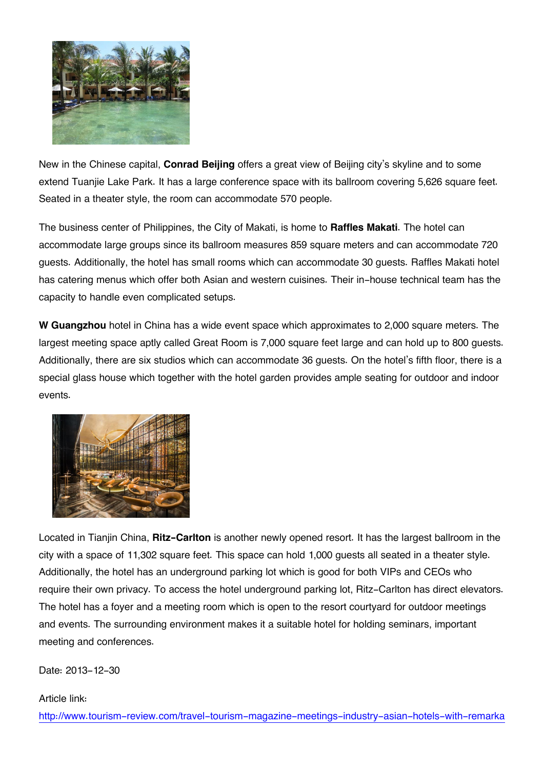

New in the Chinese capital, **Conrad Beijing** offers a great view of Beijing city's skyline and to some extend Tuanjie Lake Park. It has a large conference space with its ballroom covering 5,626 square feet. Seated in a theater style, the room can accommodate 570 people.

The business center of Philippines, the City of Makati, is home to **Raffles Makati**. The hotel can accommodate large groups since its ballroom measures 859 square meters and can accommodate 720 guests. Additionally, the hotel has small rooms which can accommodate 30 guests. Raffles Makati hotel has catering menus which offer both Asian and western cuisines. Their in-house technical team has the capacity to handle even complicated setups.

**W Guangzhou** hotel in China has a wide event space which approximates to 2,000 square meters. The largest meeting space aptly called Great Room is 7,000 square feet large and can hold up to 800 guests. Additionally, there are six studios which can accommodate 36 guests. On the hotel's fifth floor, there is a special glass house which together with the hotel garden provides ample seating for outdoor and indoor events.



Located in Tianjin China, **Ritz-Carlton** is another newly opened resort. It has the largest ballroom in the city with a space of 11,302 square feet. This space can hold 1,000 guests all seated in a theater style. Additionally, the hotel has an underground parking lot which is good for both VIPs and CEOs who require their own privacy. To access the hotel underground parking lot, Ritz-Carlton has direct elevators. The hotel has a foyer and a meeting room which is open to the resort courtyard for outdoor meetings and events. The surrounding environment makes it a suitable hotel for holding seminars, important meeting and conferences.

## Date: 2013-12-30

## Article link: